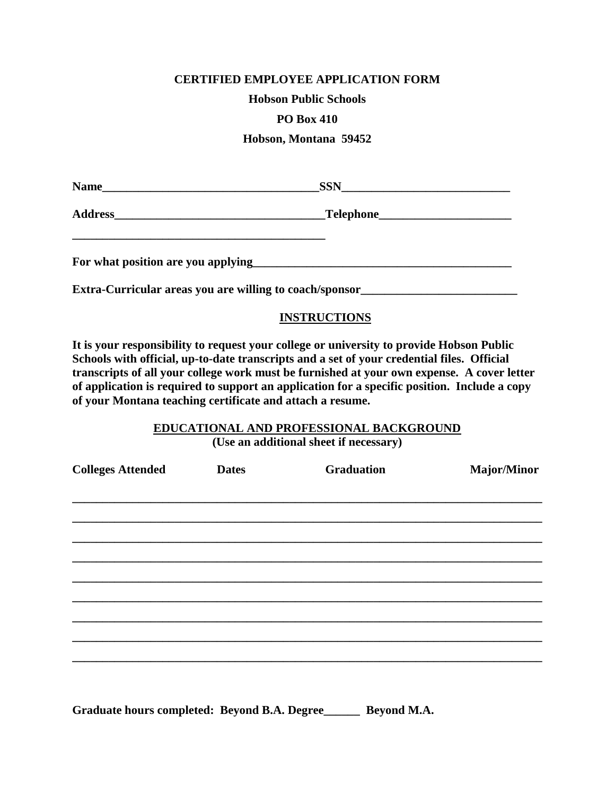### **CERTIFIED EMPLOYEE APPLICATION FORM**

**Hobson Public Schools**

### **PO Box 410**

**Hobson, Montana 59452**

|                                                         | $SSN$                              |  |
|---------------------------------------------------------|------------------------------------|--|
|                                                         | __Telephone_______________________ |  |
|                                                         |                                    |  |
| Extra-Curricular areas you are willing to coach/sponsor |                                    |  |

## **INSTRUCTIONS**

**It is your responsibility to request your college or university to provide Hobson Public Schools with official, up-to-date transcripts and a set of your credential files. Official transcripts of all your college work must be furnished at your own expense. A cover letter of application is required to support an application for a specific position. Include a copy of your Montana teaching certificate and attach a resume.**

# **EDUCATIONAL AND PROFESSIONAL BACKGROUND**

**(Use an additional sheet if necessary)**

| <b>Colleges Attended</b> | <b>Dates</b> | <b>Graduation</b> | Major/Minor |
|--------------------------|--------------|-------------------|-------------|
|                          |              |                   |             |
|                          |              |                   |             |
|                          |              |                   |             |
|                          |              |                   |             |
|                          |              |                   |             |
|                          |              |                   |             |
|                          |              |                   |             |
|                          |              |                   |             |
|                          |              |                   |             |
|                          |              |                   |             |

**Graduate hours completed: Beyond B.A. Degree\_\_\_\_\_\_ Beyond M.A.**